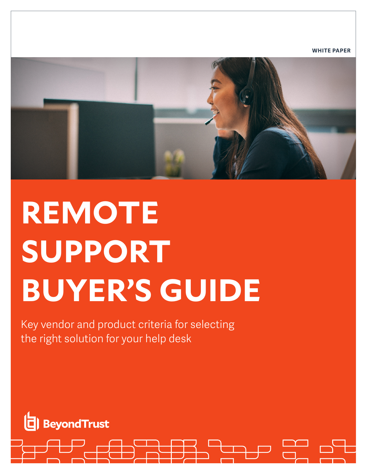**WHITE PAPER**

# **REMOTE SUPPORT BUYER'S GUIDE**

Key vendor and product criteria for selecting the right solution for your help desk

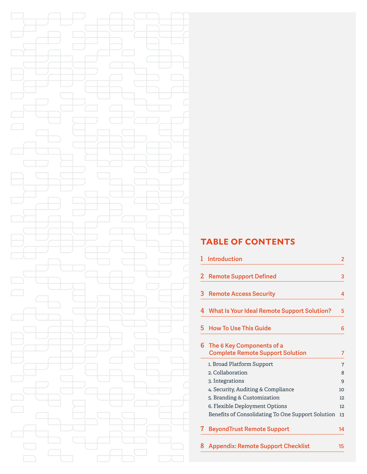# **TABLE OF CONTENTS**

|   | <b>Introduction</b>                                                  | 2  |
|---|----------------------------------------------------------------------|----|
| 2 | <b>Remote Support Defined</b>                                        | 3  |
| 3 | <b>Remote Access Security</b>                                        | 4  |
| 4 | <b>What Is Your Ideal Remote Support Solution?</b>                   | 5  |
| 5 | <b>How To Use This Guide</b>                                         | 6  |
| 6 | The 6 Key Components of a<br><b>Complete Remote Support Solution</b> | 7  |
|   | 1. Broad Platform Support                                            | 7  |
|   | 2. Collaboration                                                     | 8  |
|   | 3. Integrations                                                      | 9  |
|   | 4. Security, Auditing & Compliance                                   | 10 |
|   | 5. Branding & Customization                                          | 12 |
|   | 6. Flexible Deployment Options                                       | 12 |
|   | Benefits of Consolidating To One Support Solution                    | 13 |
| 7 | <b>BeyondTrust Remote Support</b>                                    | 14 |
| 8 | <b>Appendix: Remote Support Checklist</b>                            | 15 |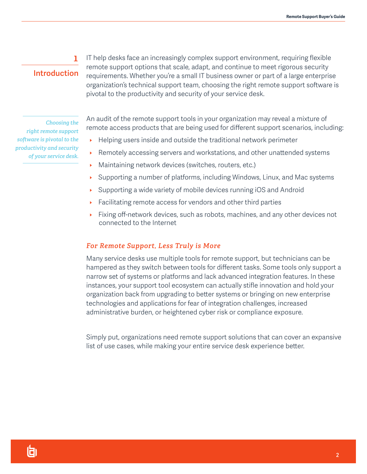# **Introduction**

**1**

IT help desks face an increasingly complex support environment, requiring flexible remote support options that scale, adapt, and continue to meet rigorous security requirements. Whether you're a small IT business owner or part of a large enterprise organization's technical support team, choosing the right remote support software is pivotal to the productivity and security of your service desk.

*Choosing the right remote support software is pivotal to the productivity and security of your service desk.*

An audit of the remote support tools in your organization may reveal a mixture of remote access products that are being used for different support scenarios, including:

- Helping users inside and outside the traditional network perimeter
- Remotely accessing servers and workstations, and other unattended systems
- $\triangleright$  Maintaining network devices (switches, routers, etc.)
- Supporting a number of platforms, including Windows, Linux, and Mac systems
- Supporting a wide variety of mobile devices running iOS and Android
- Facilitating remote access for vendors and other third parties
- $\triangleright$  Fixing off-network devices, such as robots, machines, and any other devices not connected to the Internet

## *For Remote Support, Less Truly is More*

Many service desks use multiple tools for remote support, but technicians can be hampered as they switch between tools for different tasks. Some tools only support a narrow set of systems or platforms and lack advanced integration features. In these instances, your support tool ecosystem can actually stifle innovation and hold your organization back from upgrading to better systems or bringing on new enterprise technologies and applications for fear of integration challenges, increased administrative burden, or heightened cyber risk or compliance exposure.

Simply put, organizations need remote support solutions that can cover an expansive list of use cases, while making your entire service desk experience better.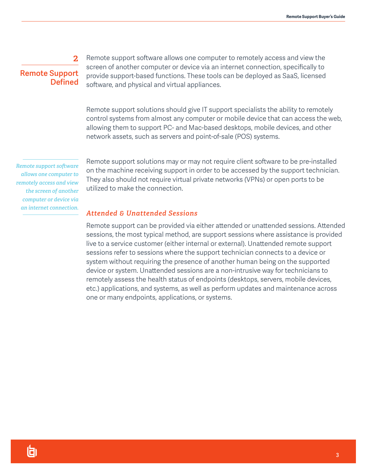# **Remote Support Defined**

**2**

Remote support software allows one computer to remotely access and view the screen of another computer or device via an internet connection, specifically to provide support-based functions. These tools can be deployed as SaaS, licensed software, and physical and virtual appliances.

Remote support solutions should give IT support specialists the ability to remotely control systems from almost any computer or mobile device that can access the web, allowing them to support PC- and Mac-based desktops, mobile devices, and other network assets, such as servers and point-of-sale (POS) systems.

*Remote support software allows one computer to remotely access and view the screen of another computer or device via an internet connection.*

Remote support solutions may or may not require client software to be pre-installed on the machine receiving support in order to be accessed by the support technician. They also should not require virtual private networks (VPNs) or open ports to be utilized to make the connection.

## *Attended & Unattended Sessions*

Remote support can be provided via either attended or unattended sessions. Attended sessions, the most typical method, are support sessions where assistance is provided live to a service customer (either internal or external). Unattended remote support sessions refer to sessions where the support technician connects to a device or system without requiring the presence of another human being on the supported device or system. Unattended sessions are a non-intrusive way for technicians to remotely assess the health status of endpoints (desktops, servers, mobile devices, etc.) applications, and systems, as well as perform updates and maintenance across one or many endpoints, applications, or systems.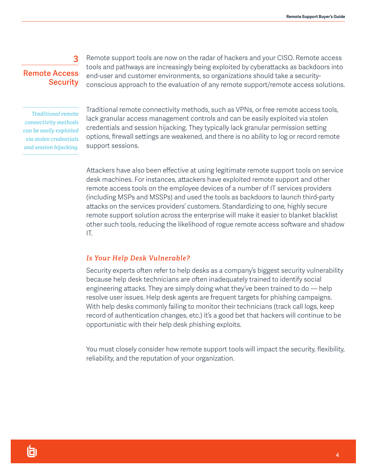# **Remote Access Security**

**3**

Remote support tools are now on the radar of hackers and your CISO. Remote access tools and pathways are increasingly being exploited by cyberattacks as backdoors into end-user and customer environments, so organizations should take a securityconscious approach to the evaluation of any remote support/remote access solutions.

*Traditional remote connectivity methods can be easily exploited via stolen credentials and session hijacking.*  Traditional remote connectivity methods, such as VPNs, or free remote access tools, lack granular access management controls and can be easily exploited via stolen credentials and session hijacking. They typically lack granular permission setting options, firewall settings are weakened, and there is no ability to log or record remote support sessions.

Attackers have also been effective at using legitimate remote support tools on service desk machines. For instances, attackers have exploited remote support and other remote access tools on the employee devices of a number of IT services providers (including MSPs and MSSPs) and used the tools as backdoors to launch third-party attacks on the services providers' customers. Standardizing to one, highly secure remote support solution across the enterprise will make it easier to blanket blacklist other such tools, reducing the likelihood of rogue remote access software and shadow IT.

## *Is Your Help Desk Vulnerable?*

Security experts often refer to help desks as a company's biggest security vulnerability because help desk technicians are often inadequately trained to identify social engineering attacks. They are simply doing what they've been trained to do — help resolve user issues. Help desk agents are frequent targets for phishing campaigns. With help desks commonly failing to monitor their technicians (track call logs, keep record of authentication changes, etc.) it's a good bet that hackers will continue to be opportunistic with their help desk phishing exploits.

You must closely consider how remote support tools will impact the security, flexibility, reliability, and the reputation of your organization.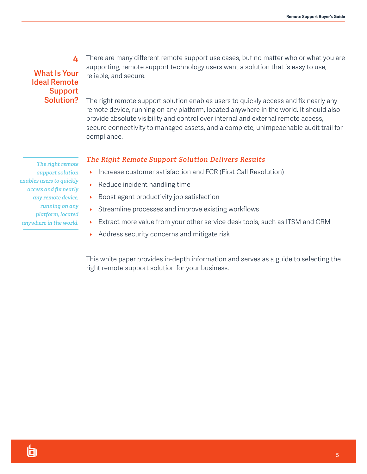# **What Is Your Ideal Remote Support Solution?**

**4**

There are many different remote support use cases, but no matter who or what you are supporting, remote support technology users want a solution that is easy to use, reliable, and secure.

The right remote support solution enables users to quickly access and fix nearly any remote device, running on any platform, located anywhere in the world. It should also provide absolute visibility and control over internal and external remote access, secure connectivity to managed assets, and a complete, unimpeachable audit trail for compliance.

## *The Right Remote Support Solution Delivers Results*

- Increase customer satisfaction and FCR (First Call Resolution)
- $\triangleright$  Reduce incident handling time
- $\rightarrow$  Boost agent productivity job satisfaction
- Streamline processes and improve existing workflows
- Extract more value from your other service desk tools, such as ITSM and CRM
- Address security concerns and mitigate risk

This white paper provides in-depth information and serves as a guide to selecting the right remote support solution for your business.

*The right remote support solution enables users to quickly access and fix nearly any remote device, running on any platform, located anywhere in the world.*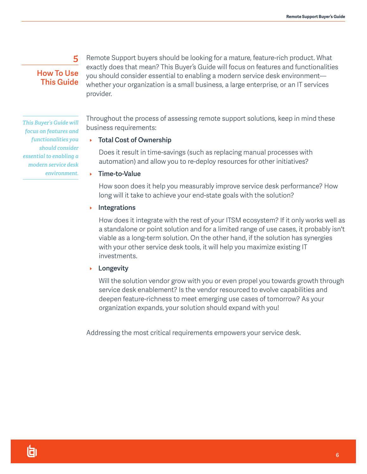# **How To Use This Guide**

**5**

Remote Support buyers should be looking for a mature, feature-rich product. What exactly does that mean? This Buyer's Guide will focus on features and functionalities you should consider essential to enabling a modern service desk environment whether your organization is a small business, a large enterprise, or an IT services provider.

*This Buyer's Guide will focus on features and functionalities you should consider essential to enabling a modern service desk environment.*

Throughout the process of assessing remote support solutions, keep in mind these business requirements:

## **FICTER 1 Total Cost of Ownership**

Does it result in time-savings (such as replacing manual processes with automation) and allow you to re-deploy resources for other initiatives?

▶ Time-to-Value

How soon does it help you measurably improve service desk performance? How long will it take to achieve your end-state goals with the solution?

## **Integrations**

How does it integrate with the rest of your ITSM ecosystem? If it only works well as a standalone or point solution and for a limited range of use cases, it probably isn't viable as a long-term solution. On the other hand, if the solution has synergies with your other service desk tools, it will help you maximize existing IT investments.

## **Longevity**

Will the solution vendor grow with you or even propel you towards growth through service desk enablement? Is the vendor resourced to evolve capabilities and deepen feature-richness to meet emerging use cases of tomorrow? As your organization expands, your solution should expand with you!

Addressing the most critical requirements empowers your service desk.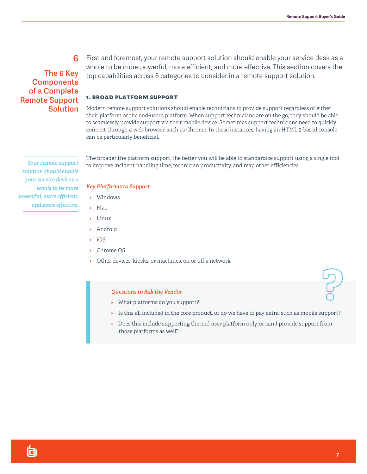# **The 6 Key Components of a Complete Remote Support Solution**

**6**

First and foremost, your remote support solution should enable your service desk as a whole to be more powerful, more efficient, and more effective. This section covers the top capabilities across 6 categories to consider in a remote support solution.

#### 1. BROAD PLATFORM SUPPORT

Modern remote support solutions should enable technicians to provide support regardless of either their platform or the end-user's platform. When support technicians are on the go, they should be able to seamlessly provide support via their mobile device. Sometimes support technicians need to quickly connect through a web browser, such as Chrome. In these instances, having an HTML 5-based console can be particularly beneficial.

The broader the platform support, the better you will be able to standardize support using a single tool to improve incident handling time, technician productivity, and reap other efficiencies.

#### *Key Platforms to Support*

- $\blacktriangleright$  Windows
- $Mac$
- $\blacktriangleright$  Linux
- $\blacktriangleright$  Android
- $\cdot$  iOS
- ▶ Chrome OS
- $\triangleright$  Other devices, kiosks, or machines, on or off a network

#### *Questions to Ask the Vendor*

- $\blacktriangleright$  What platforms do you support?
- Is this all included in the core product, or do we have to pay extra, such as mobile support?
- Does this include supporting the end user platform only, or can I provide support from those platforms as well?

*Your remote support solution should enable your service desk as a whole to be more powerful, more efficient, and more effective.*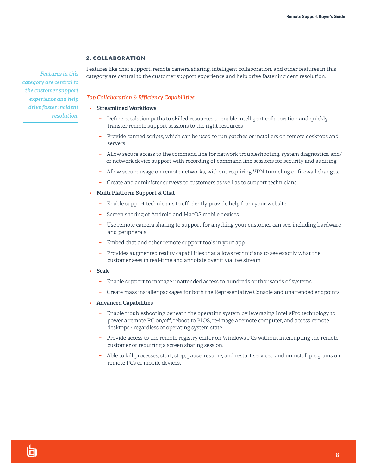#### 2. COLLABORATION

*Features in this category are central to the customer support experience and help drive faster incident resolution.*

#### Features like chat support, remote camera sharing, intelligent collaboration, and other features in this category are central to the customer support experience and help drive faster incident resolution.

#### *Top Collaboration & Efficiency Capabilities*

#### **EXTED Streamlined Workflows**

- **−** Define escalation paths to skilled resources to enable intelligent collaboration and quickly transfer remote support sessions to the right resources
- **−** Provide canned scripts, which can be used to run patches or installers on remote desktops and servers
- **−** Allow secure access to the command line for network troubleshooting, system diagnostics, and/ or network device support with recording of command line sessions for security and auditing.
- **−** Allow secure usage on remote networks, without requiring VPN tunneling or firewall changes.
- **−** Create and administer surveys to customers as well as to support technicians.
- **Multi Platform Support & Chat** 
	- **−** Enable support technicians to efficiently provide help from your website
	- **−** Screen sharing of Android and MacOS mobile devices
	- **−** Use remote camera sharing to support for anything your customer can see, including hardware and peripherals
	- **−** Embed chat and other remote support tools in your app
	- **−** Provides augmented reality capabilities that allows technicians to see exactly what the customer sees in real-time and annotate over it via live stream
- I **Scale**
	- **−** Enable support to manage unattended access to hundreds or thousands of systems
	- **−** Create mass installer packages for both the Representative Console and unattended endpoints
- **Advanced Capabilities** 
	- **−** Enable troubleshooting beneath the operating system by leveraging Intel vPro technology to power a remote PC on/off, reboot to BIOS, re-image a remote computer, and access remote desktops - regardless of operating system state
	- **−** Provide access to the remote registry editor on Windows PCs without interrupting the remote customer or requiring a screen sharing session.
	- **−** Able to kill processes; start, stop, pause, resume, and restart services; and uninstall programs on remote PCs or mobile devices.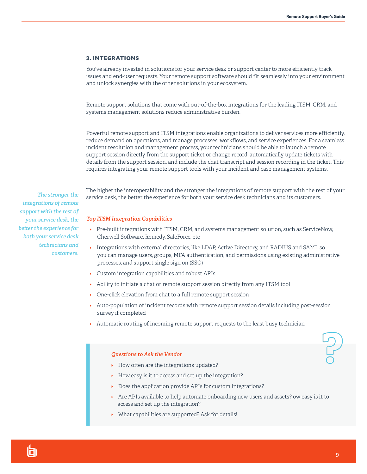#### 3. INTEGRATIONS

You've already invested in solutions for your service desk or support center to more efficiently track issues and end-user requests. Your remote support software should fit seamlessly into your environment and unlock synergies with the other solutions in your ecosystem.

Remote support solutions that come with out-of-the-box integrations for the leading ITSM, CRM, and systems management solutions reduce administrative burden.

Powerful remote support and ITSM integrations enable organizations to deliver services more efficiently, reduce demand on operations, and manage processes, workflows, and service experiences. For a seamless incident resolution and management process, your technicians should be able to launch a remote support session directly from the support ticket or change record, automatically update tickets with details from the support session, and include the chat transcript and session recording in the ticket. This requires integrating your remote support tools with your incident and case management systems.

*The stronger the integrations of remote support with the rest of your service desk, the better the experience for both your service desk technicians and customers.*

The higher the interoperability and the stronger the integrations of remote support with the rest of your service desk, the better the experience for both your service desk technicians and its customers.

#### *Top ITSM Integration Capabilities*

- ▶ Pre-built integrations with ITSM, CRM, and systems management solution, such as ServiceNow, Cherwell Software, Remedy, SaleForce, etc
- Integrations with external directories, like LDAP, Active Directory, and RADIUS and SAML so you can manage users, groups, MFA authentication, and permissions using existing administrative processes, and support single sign on (SSO)
- $\triangleright$  Custom integration capabilities and robust APIs
- $\rightarrow$  Ability to initiate a chat or remote support session directly from any ITSM tool
- $\triangleright$  One-click elevation from chat to a full remote support session
- **Auto-population of incident records with remote support session details including post-session** survey if completed
- $\rightarrow$  Automatic routing of incoming remote support requests to the least busy technician

#### *Questions to Ask the Vendor*

- $\rightarrow$  How often are the integrations updated?
- $\blacktriangleright$  How easy is it to access and set up the integration?
- $\triangleright$  Does the application provide APIs for custom integrations?
- $\triangleright$  Are APIs available to help automate onboarding new users and assets? ow easy is it to access and set up the integration?
- $\triangleright$  What capabilities are supported? Ask for details!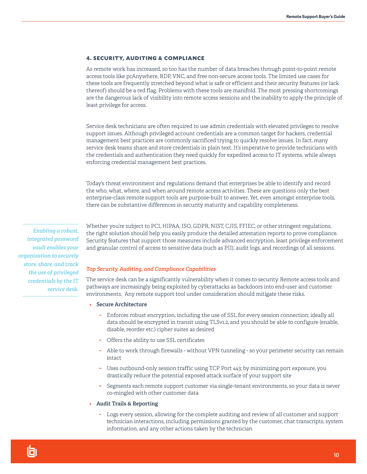#### 4. SECURITY, AUDITING & COMPLIANCE

As remote work has increased, so too has the number of data breaches through point-to-point remote access tools like pcAnywhere, RDP, VNC, and free non-secure access tools. The limited use cases for these tools are frequently stretched beyond what is safe or efficient and their security features (or lack thereof) should be a red flag. Problems with these tools are manifold. The most pressing shortcomings are the dangerous lack of visibility into remote access sessions and the inability to apply the principle of least privilege for access.

Service desk technicians are often required to use admin credentials with elevated privileges to resolve support issues. Although privileged account credentials are a common target for hackers, credential management best practices are commonly sacrificed trying to quickly resolve issues. In fact, many service desk teams share and store credentials in plain text. It's imperative to provide technicians with the credentials and authentication they need quickly for expedited access to IT systems, while always enforcing credential management best practices.

Today's threat environment and regulations demand that enterprises be able to identify and record the who, what, where, and when around remote access activities. These are questions only the best enterprise-class remote support tools are purpose-built to answer. Yet, even amongst enterprise tools, there can be substantive differences in security maturity and capability completeness.

*Enabling a robust, integrated password vault enables your organization to securely store, share, and track the use of privileged credentials by the IT service desk.*  Whether you're subject to PCI, HIPAA, ISO, GDPR, NIST, CJIS, FFIEC, or other stringent regulations, the right solution should help you easily produce the detailed attestation reports to prove compliance. Security features that support those measures include advanced encryption, least privilege enforcement and granular control of access to sensitive data (such as PII), audit logs, and recordings of all sessions.

#### *Top Security, Auditing, and Compliance Capabilities*

The service desk can be a significantly vulnerability when it comes to security. Remote access tools and pathways are increasingly being exploited by cyberattacks as backdoors into end-user and customer environments. Any remote support tool under consideration should mitigate these risks.

- I **Secure Architecture** 
	- **−** Enforces robust encryption, including the use of SSL for every session connection; ideally all data should be encrypted in transit using TLSv1.2, and you should be able to configure (enable, disable, reorder etc.) cipher suites as desired
	- **−** Offers the ability to use SSL certificates
	- **−** Able to work through firewalls without VPN tunneling so your perimeter security can remain intact
	- **−** Uses outbound-only session traffic using TCP Port 443; by minimizing port exposure, you drastically reduce the potential exposed attack surface of your support site
	- **−** Segments each remote support customer via single-tenant environments, so your data is never co-mingled with other customer data

#### I **Audit Trails & Reporting**

**−** Logs every session, allowing for the complete auditing and review of all customer and support technician interactions, including permissions granted by the customer, chat transcripts, system information, and any other actions taken by the technician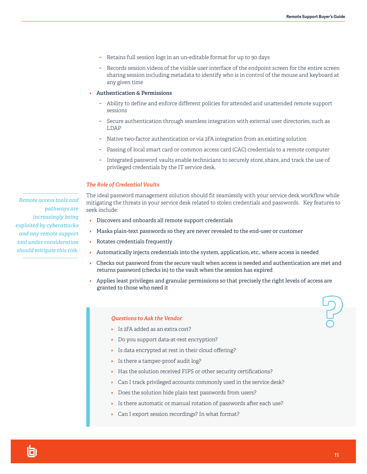- **−** Retains full session logs in an un-editable format for up to 90 days
- **−** Records session videos of the visible user interface of the endpoint screen for the entire screen sharing session including metadata to identify who is in control of the mouse and keyboard at any given time
- I **Authentication & Permissions** 
	- **−** Ability to define and enforce different policies for attended and unattended remote support sessions
	- **−** Secure authentication through seamless integration with external user directories, such as LDAP
	- **−** Native two-factor authentication or via 2FA integration from an existing solution
	- **−** Passing of local smart card or common access card (CAC) credentials to a remote computer
	- **−** Integrated password vaults enable technicians to securely store, share, and track the use of privileged credentials by the IT service desk.

#### *The Role of Credential Vaults*

The ideal password management solution should fit seamlessly with your service desk workflow while mitigating the threats in your service desk related to stolen credentials and passwords. Key features to seek include:

- **Discovers and onboards all remote support credentials**
- **Masks plain-text passwords so they are never revealed to the end-user or customer**
- **Rotates credentials frequently**
- IAutomatically injects credentials into the system, application, etc., where access is needed
- **Checks out password from the secure vault when access is needed and authentication are met and** returns password (checks in) to the vault when the session has expired
- **Applies least privileges and granular permissions so that precisely the right levels of access are** granted to those who need it

#### *Questions to Ask the Vendor*

- IIs 2FA added as an extra cost?
- **Do you support data-at-rest encryption?**
- IIs data encrypted at rest in their cloud offering?
- IIs there a tamper-proof audit log?
- IHas the solution received FIPS or other security certifications?
- **Can I track privileged accounts commonly used in the service desk?**
- **Does the solution hide plain text passwords from users?**
- IIs there automatic or manual rotation of passwords after each use?
- **Can I export session recordings? In what format?**

*Remote access tools and pathways are increasingly being exploited by cyberattacks and any remote support tool under consideration should mitigate this risk.*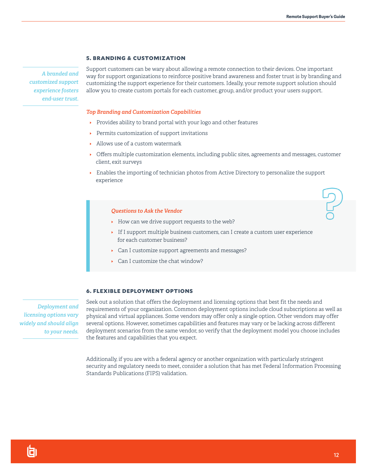#### 5. BRANDING & CUSTOMIZATION

*A branded and customized support experience fosters end-user trust.*

Support customers can be wary about allowing a remote connection to their devices. One important way for support organizations to reinforce positive brand awareness and foster trust is by branding and customizing the support experience for their customers. Ideally, your remote support solution should allow you to create custom portals for each customer, group, and/or product your users support.

#### *Top Branding and Customization Capabilities*

- **Provides ability to brand portal with your logo and other features**
- **Permits customization of support invitations**
- IAllows use of a custom watermark
- **I** Offers multiple customization elements, including public sites, agreements and messages, customer client, exit surveys
- **Enables the importing of technician photos from Active Directory to personalize the support** experience

#### *Questions to Ask the Vendor*

- **I** How can we drive support requests to the web?
- **IF I support multiple business customers, can I create a custom user experience** for each customer business?
- **Can I customize support agreements and messages?**
- ▶ Can I customize the chat window?

#### 6. FLEXIBLE DEPLOYMENT OPTIONS

*Deployment and licensing options vary widely and should align to your needs.* Seek out a solution that offers the deployment and licensing options that best fit the needs and requirements of your organization. Common deployment options include cloud subscriptions as well as physical and virtual appliances. Some vendors may offer only a single option. Other vendors may offer several options. However, sometimes capabilities and features may vary or be lacking across different deployment scenarios from the same vendor, so verify that the deployment model you choose includes the features and capabilities that you expect.

Additionally, if you are with a federal agency or another organization with particularly stringent security and regulatory needs to meet, consider a solution that has met Federal Information Processing Standards Publications (FIPS) validation.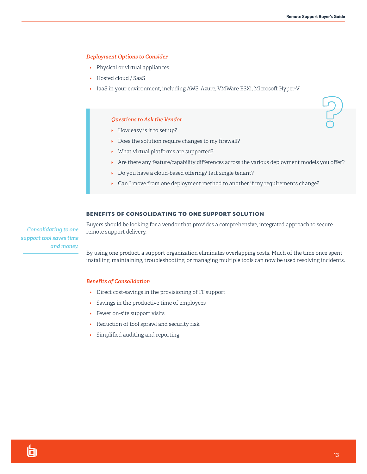#### *Deployment Options to Consider*

- **•** Physical or virtual appliances
- ▶ Hosted cloud / SaaS
- **IaaS** in your environment, including AWS, Azure, VMWare ESXi, Microsoft Hyper-V

#### *Questions to Ask the Vendor*

- **I** How easy is it to set up?
- **Does the solution require changes to my firewall?**
- IWhat virtual platforms are supported?
- **Are there any feature/capability differences across the various deployment models you offer?**
- ▶ Do you have a cloud-based offering? Is it single tenant?
- **Can I move from one deployment method to another if my requirements change?**

#### BENEFITS OF CONSOLIDATING TO ONE SUPPORT SOLUTION

*Consolidating to one support tool saves time and money.* Buyers should be looking for a vendor that provides a comprehensive, integrated approach to secure remote support delivery.

By using one product, a support organization eliminates overlapping costs. Much of the time once spent installing, maintaining, troubleshooting, or managing multiple tools can now be used resolving incidents.

#### *Benefits of Consolidation*

- **Direct cost-savings in the provisioning of IT support**
- ISavings in the productive time of employees
- **Fewer on-site support visits**
- **Reduction of tool sprawl and security risk**
- ISimplified auditing and reporting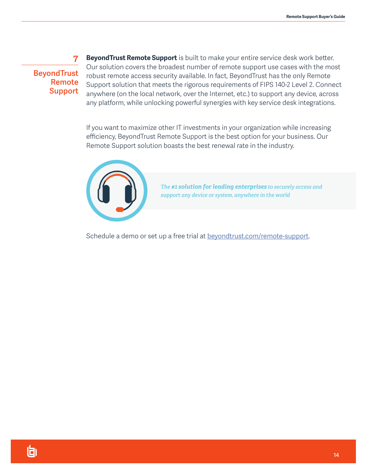**BeyondTrust Remote Support**

**7**

**BeyondTrust Remote Support** is built to make your entire service desk work better. Our solution covers the broadest number of remote support use cases with the most robust remote access security available. In fact, BeyondTrust has the only Remote Support solution that meets the rigorous requirements of FIPS 140-2 Level 2. Connect anywhere (on the local network, over the Internet, etc.) to support any device, across any platform, while unlocking powerful synergies with key service desk integrations.

If you want to maximize other IT investments in your organization while increasing efficiency, BeyondTrust Remote Support is the best option for your business. Our Remote Support solution boasts the best renewal rate in the industry.



*The #1 solution for leading enterprises to securely access and support any device or system, anywhere in the world*

Schedule a demo or set up a free trial at [beyondtrust.com/remote-support.](https://www.beyondtrust.com/remote-support)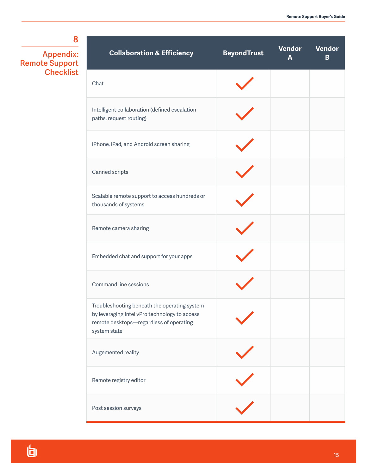**8 Appendix: Remote Support** 

**Checklist**

| <b>Collaboration &amp; Efficiency</b>                                                                                                                    | <b>BeyondTrust</b> | Vendor<br>A | Vendor<br>B |
|----------------------------------------------------------------------------------------------------------------------------------------------------------|--------------------|-------------|-------------|
| Chat                                                                                                                                                     |                    |             |             |
| Intelligent collaboration (defined escalation<br>paths, request routing)                                                                                 |                    |             |             |
| iPhone, iPad, and Android screen sharing                                                                                                                 |                    |             |             |
| Canned scripts                                                                                                                                           |                    |             |             |
| Scalable remote support to access hundreds or<br>thousands of systems                                                                                    |                    |             |             |
| Remote camera sharing                                                                                                                                    |                    |             |             |
| Embedded chat and support for your apps                                                                                                                  |                    |             |             |
| Command line sessions                                                                                                                                    |                    |             |             |
| Troubleshooting beneath the operating system<br>by leveraging Intel vPro technology to access<br>remote desktops-regardless of operating<br>system state |                    |             |             |
| Augemented reality                                                                                                                                       |                    |             |             |
| Remote registry editor                                                                                                                                   |                    |             |             |
| Post session surveys                                                                                                                                     |                    |             |             |

旬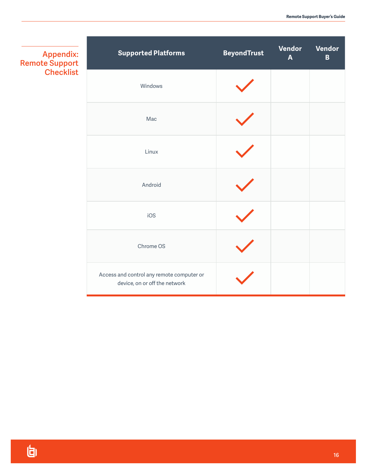| <b>Appendix:</b><br><b>Remote Support</b> | <b>Supported Platforms</b>                                                 | <b>BeyondTrust</b> | <b>Vendor</b><br>$\mathbf{A}$ | Vendor<br>$\, {\bf B}$ |
|-------------------------------------------|----------------------------------------------------------------------------|--------------------|-------------------------------|------------------------|
| <b>Checklist</b>                          | Windows                                                                    |                    |                               |                        |
|                                           | Mac                                                                        |                    |                               |                        |
|                                           | Linux                                                                      |                    |                               |                        |
|                                           | Android                                                                    |                    |                               |                        |
|                                           | iOS                                                                        |                    |                               |                        |
|                                           | Chrome OS                                                                  |                    |                               |                        |
|                                           | Access and control any remote computer or<br>device, on or off the network |                    |                               |                        |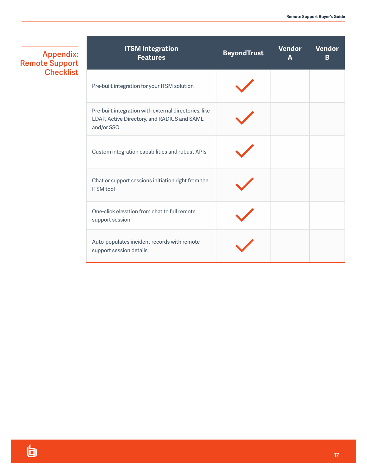| <b>Appendix:</b>      |
|-----------------------|
| <b>Remote Support</b> |
| <b>Checklist</b>      |

| <b>ITSM Integration</b><br><b>Features</b>                                                                         | <b>BeyondTrust</b> | <b>Vendor</b><br>A | <b>Vendor</b><br>B |
|--------------------------------------------------------------------------------------------------------------------|--------------------|--------------------|--------------------|
| Pre-built integration for your ITSM solution                                                                       |                    |                    |                    |
| Pre-built integration with external directories, like<br>LDAP, Active Directory, and RADIUS and SAML<br>and/or SSO |                    |                    |                    |
| Custom integration capabilities and robust APIs                                                                    |                    |                    |                    |
| Chat or support sessions initiation right from the<br><b>ITSM</b> tool                                             |                    |                    |                    |
| One-click elevation from chat to full remote<br>support session                                                    |                    |                    |                    |
| Auto-populates incident records with remote<br>support session details                                             |                    |                    |                    |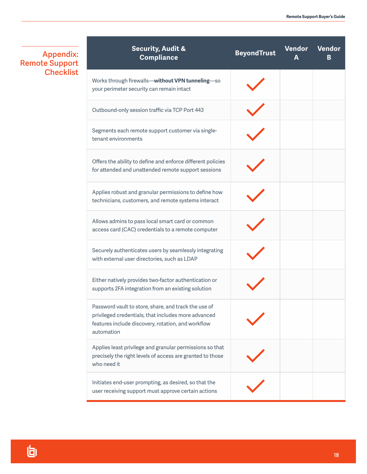**Appendix: Remote Support Checklist**

| <b>Security, Audit &amp;</b><br><b>Compliance</b>                                                                                                                               | <b>BeyondTrust</b> | <b>Vendor</b><br>A | <b>Vendor</b><br>в |
|---------------------------------------------------------------------------------------------------------------------------------------------------------------------------------|--------------------|--------------------|--------------------|
| Works through firewalls-without VPN tunneling-so<br>your perimeter security can remain intact                                                                                   |                    |                    |                    |
| Outbound-only session traffic via TCP Port 443                                                                                                                                  |                    |                    |                    |
| Segments each remote support customer via single-<br>tenant environments                                                                                                        |                    |                    |                    |
| Offers the ability to define and enforce different policies<br>for attended and unattended remote support sessions                                                              |                    |                    |                    |
| Applies robust and granular permissions to define how<br>technicians, customers, and remote systems interact                                                                    |                    |                    |                    |
| Allows admins to pass local smart card or common<br>access card (CAC) credentials to a remote computer                                                                          |                    |                    |                    |
| Securely authenticates users by seamlessly integrating<br>with external user directories, such as LDAP                                                                          |                    |                    |                    |
| Either natively provides two-factor authentication or<br>supports 2FA integration from an existing solution                                                                     |                    |                    |                    |
| Password vault to store, share, and track the use of<br>privileged credentials, that includes more advanced<br>features include discovery, rotation, and workflow<br>automation |                    |                    |                    |
| Applies least privilege and granular permissions so that<br>precisely the right levels of access are granted to those<br>who need it                                            |                    |                    |                    |
| Initiates end-user prompting, as desired, so that the<br>user receiving support must approve certain actions                                                                    |                    |                    |                    |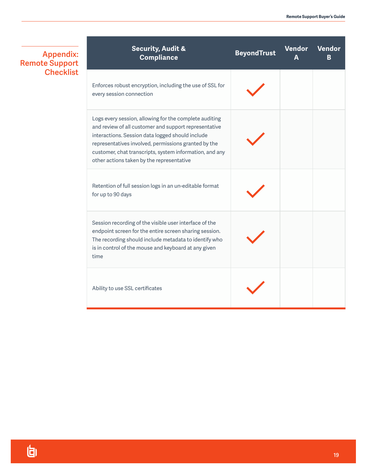| <b>Appendix:</b><br><b>Remote Support</b> | <b>Security, Audit &amp;</b><br><b>Compliance</b>                                                                                                                                                                                                                                                                                   | <b>BeyondTrust</b> | Vendor<br>А | <b>Vendor</b><br>B |
|-------------------------------------------|-------------------------------------------------------------------------------------------------------------------------------------------------------------------------------------------------------------------------------------------------------------------------------------------------------------------------------------|--------------------|-------------|--------------------|
| <b>Checklist</b>                          | Enforces robust encryption, including the use of SSL for<br>every session connection                                                                                                                                                                                                                                                |                    |             |                    |
|                                           | Logs every session, allowing for the complete auditing<br>and review of all customer and support representative<br>interactions. Session data logged should include<br>representatives involved, permissions granted by the<br>customer, chat transcripts, system information, and any<br>other actions taken by the representative |                    |             |                    |
|                                           | Retention of full session logs in an un-editable format<br>for up to 90 days                                                                                                                                                                                                                                                        |                    |             |                    |
|                                           | Session recording of the visible user interface of the<br>endpoint screen for the entire screen sharing session.<br>The recording should include metadata to identify who<br>is in control of the mouse and keyboard at any given<br>time                                                                                           |                    |             |                    |
|                                           | Ability to use SSL certificates                                                                                                                                                                                                                                                                                                     |                    |             |                    |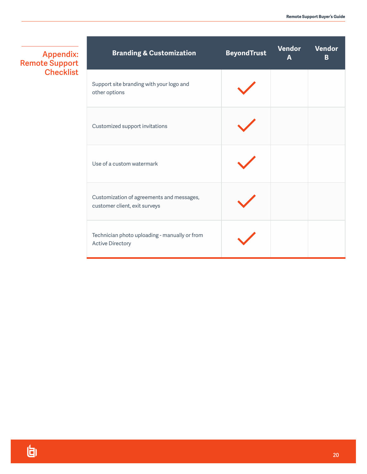**Appendix: Remote Support Checklist**

| <b>Branding &amp; Customization</b>                                        | <b>BeyondTrust</b> | Vendor<br>$\overline{\mathsf{A}}$ | <b>Vendor</b><br>B |
|----------------------------------------------------------------------------|--------------------|-----------------------------------|--------------------|
| Support site branding with your logo and<br>other options                  |                    |                                   |                    |
| Customized support invitations                                             |                    |                                   |                    |
| Use of a custom watermark                                                  |                    |                                   |                    |
| Customization of agreements and messages,<br>customer client, exit surveys |                    |                                   |                    |
| Technician photo uploading - manually or from<br><b>Active Directory</b>   |                    |                                   |                    |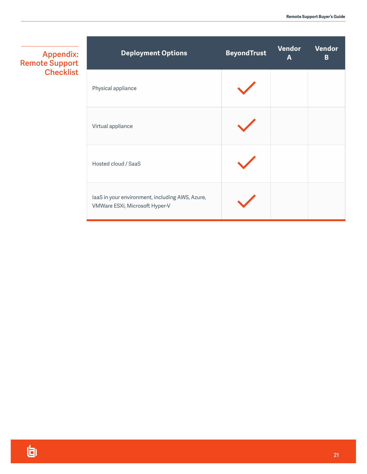**Appendix: Remote Support Checklist**

| <b>Deployment Options</b>                                                         | <b>BeyondTrust</b> | Vendor<br>A | Vendor<br>B |
|-----------------------------------------------------------------------------------|--------------------|-------------|-------------|
| Physical appliance                                                                |                    |             |             |
| Virtual appliance                                                                 |                    |             |             |
| Hosted cloud / SaaS                                                               |                    |             |             |
| laaS in your environment, including AWS, Azure,<br>VMWare ESXi, Microsoft Hyper-V |                    |             |             |